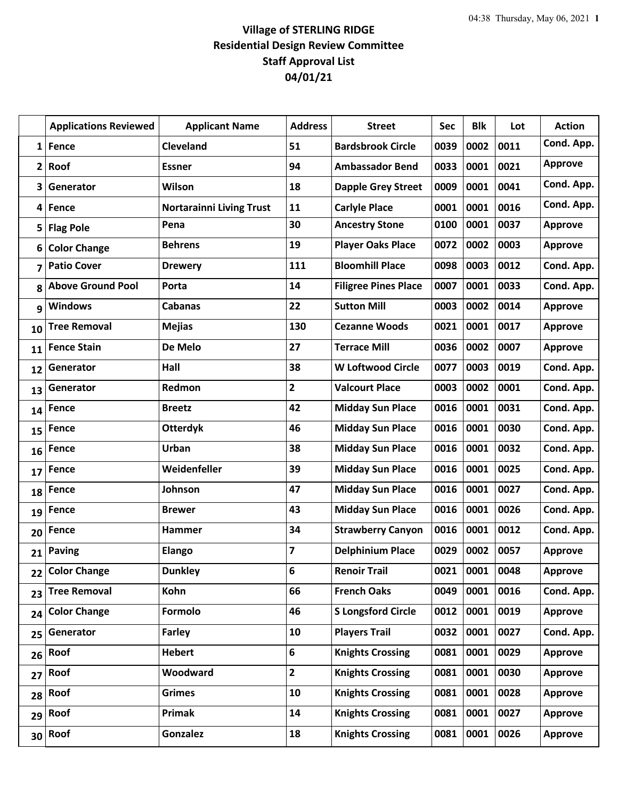|                 | <b>Applications Reviewed</b> | <b>Applicant Name</b>           | <b>Address</b> | <b>Street</b>               | <b>Sec</b> | <b>Blk</b> | Lot  | <b>Action</b>  |
|-----------------|------------------------------|---------------------------------|----------------|-----------------------------|------------|------------|------|----------------|
| $1\vert$        | Fence                        | <b>Cleveland</b>                | 51             | <b>Bardsbrook Circle</b>    | 0039       | 0002       | 0011 | Cond. App.     |
| $\mathbf{2}$    | Roof                         | <b>Essner</b>                   | 94             | <b>Ambassador Bend</b>      | 0033       | 0001       | 0021 | <b>Approve</b> |
| 3               | Generator                    | Wilson                          | 18             | <b>Dapple Grey Street</b>   | 0009       | 0001       | 0041 | Cond. App.     |
| 4               | Fence                        | <b>Nortarainni Living Trust</b> | 11             | <b>Carlyle Place</b>        | 0001       | 0001       | 0016 | Cond. App.     |
| 5               | <b>Flag Pole</b>             | Pena                            | 30             | <b>Ancestry Stone</b>       | 0100       | 0001       | 0037 | <b>Approve</b> |
| 6               | <b>Color Change</b>          | <b>Behrens</b>                  | 19             | <b>Player Oaks Place</b>    | 0072       | 0002       | 0003 | <b>Approve</b> |
| 7               | <b>Patio Cover</b>           | <b>Drewery</b>                  | 111            | <b>Bloomhill Place</b>      | 0098       | 0003       | 0012 | Cond. App.     |
| 8               | <b>Above Ground Pool</b>     | Porta                           | 14             | <b>Filigree Pines Place</b> | 0007       | 0001       | 0033 | Cond. App.     |
| 9               | <b>Windows</b>               | <b>Cabanas</b>                  | 22             | <b>Sutton Mill</b>          | 0003       | 0002       | 0014 | <b>Approve</b> |
| 10              | <b>Tree Removal</b>          | <b>Mejias</b>                   | 130            | <b>Cezanne Woods</b>        | 0021       | 0001       | 0017 | <b>Approve</b> |
| 11              | <b>Fence Stain</b>           | De Melo                         | 27             | <b>Terrace Mill</b>         | 0036       | 0002       | 0007 | Approve        |
| 12              | Generator                    | Hall                            | 38             | <b>W Loftwood Circle</b>    | 0077       | 0003       | 0019 | Cond. App.     |
| 13              | Generator                    | Redmon                          | $\overline{2}$ | <b>Valcourt Place</b>       | 0003       | 0002       | 0001 | Cond. App.     |
| 14              | Fence                        | <b>Breetz</b>                   | 42             | <b>Midday Sun Place</b>     | 0016       | 0001       | 0031 | Cond. App.     |
| 15              | Fence                        | <b>Otterdyk</b>                 | 46             | <b>Midday Sun Place</b>     | 0016       | 0001       | 0030 | Cond. App.     |
| 16              | Fence                        | Urban                           | 38             | <b>Midday Sun Place</b>     | 0016       | 0001       | 0032 | Cond. App.     |
| 17              | Fence                        | Weidenfeller                    | 39             | <b>Midday Sun Place</b>     | 0016       | 0001       | 0025 | Cond. App.     |
| 18              | Fence                        | Johnson                         | 47             | <b>Midday Sun Place</b>     | 0016       | 0001       | 0027 | Cond. App.     |
| 19              | Fence                        | <b>Brewer</b>                   | 43             | <b>Midday Sun Place</b>     | 0016       | 0001       | 0026 | Cond. App.     |
| 20              | Fence                        | Hammer                          | 34             | <b>Strawberry Canyon</b>    | 0016       | 0001       | 0012 | Cond. App.     |
| 21              | <b>Paving</b>                | <b>Elango</b>                   | 7              | <b>Delphinium Place</b>     | 0029       | 0002       | 0057 | <b>Approve</b> |
| 22              | <b>Color Change</b>          | <b>Dunkley</b>                  | 6              | <b>Renoir Trail</b>         | 0021       | 0001       | 0048 | <b>Approve</b> |
| 23              | <b>Tree Removal</b>          | Kohn                            | 66             | <b>French Oaks</b>          | 0049       | 0001       | 0016 | Cond. App.     |
| 24              | <b>Color Change</b>          | Formolo                         | 46             | <b>S Longsford Circle</b>   | 0012       | 0001       | 0019 | <b>Approve</b> |
| 25              | Generator                    | Farley                          | 10             | <b>Players Trail</b>        | 0032       | 0001       | 0027 | Cond. App.     |
| 26              | Roof                         | <b>Hebert</b>                   | $6\phantom{1}$ | <b>Knights Crossing</b>     | 0081       | 0001       | 0029 | <b>Approve</b> |
| 27              | Roof                         | Woodward                        | $\overline{2}$ | <b>Knights Crossing</b>     | 0081       | 0001       | 0030 | <b>Approve</b> |
| 28              | Roof                         | <b>Grimes</b>                   | 10             | <b>Knights Crossing</b>     | 0081       | 0001       | 0028 | <b>Approve</b> |
| 29              | Roof                         | Primak                          | 14             | <b>Knights Crossing</b>     | 0081       | 0001       | 0027 | <b>Approve</b> |
| 30 <sup>1</sup> | Roof                         | Gonzalez                        | 18             | <b>Knights Crossing</b>     | 0081       | 0001       | 0026 | <b>Approve</b> |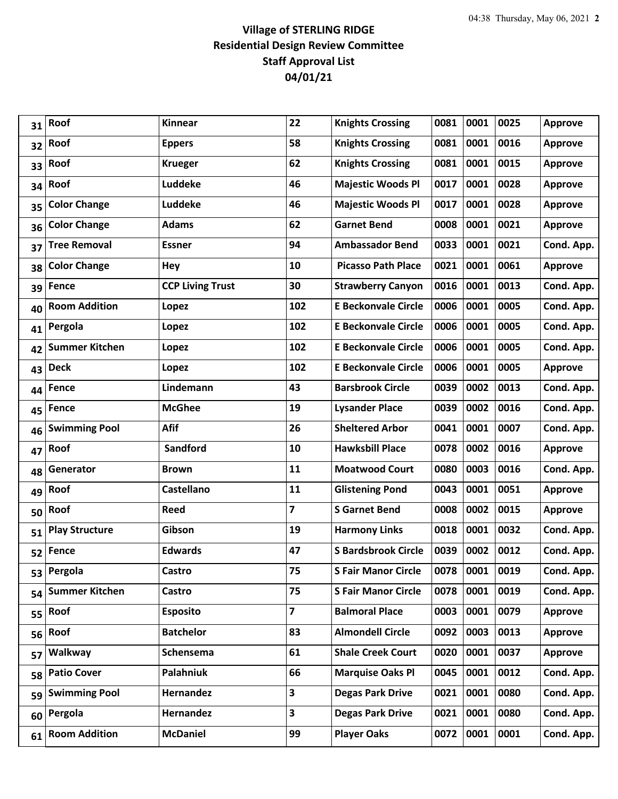| 31 | Roof                  | Kinnear                 | 22                      | <b>Knights Crossing</b>    | 0081 | 0001      | 0025 | <b>Approve</b> |
|----|-----------------------|-------------------------|-------------------------|----------------------------|------|-----------|------|----------------|
| 32 | Roof                  | <b>Eppers</b>           | 58                      | <b>Knights Crossing</b>    | 0081 | 0001      | 0016 | <b>Approve</b> |
| 33 | Roof                  | <b>Krueger</b>          | 62                      | <b>Knights Crossing</b>    | 0081 | 0001      | 0015 | <b>Approve</b> |
| 34 | Roof                  | Luddeke                 | 46                      | <b>Majestic Woods Pl</b>   | 0017 | 0001      | 0028 | <b>Approve</b> |
| 35 | <b>Color Change</b>   | Luddeke                 | 46                      | <b>Majestic Woods Pl</b>   | 0017 | 0001      | 0028 | <b>Approve</b> |
| 36 | <b>Color Change</b>   | <b>Adams</b>            | 62                      | <b>Garnet Bend</b>         | 0008 | 0001      | 0021 | <b>Approve</b> |
| 37 | <b>Tree Removal</b>   | <b>Essner</b>           | 94                      | <b>Ambassador Bend</b>     | 0033 | 0001      | 0021 | Cond. App.     |
| 38 | <b>Color Change</b>   | Hey                     | 10                      | <b>Picasso Path Place</b>  | 0021 | 0001      | 0061 | <b>Approve</b> |
| 39 | Fence                 | <b>CCP Living Trust</b> | 30                      | <b>Strawberry Canyon</b>   | 0016 | 0001      | 0013 | Cond. App.     |
| 40 | <b>Room Addition</b>  | Lopez                   | 102                     | <b>E Beckonvale Circle</b> | 0006 | 0001      | 0005 | Cond. App.     |
| 41 | Pergola               | Lopez                   | 102                     | <b>E Beckonvale Circle</b> | 0006 | 0001      | 0005 | Cond. App.     |
| 42 | <b>Summer Kitchen</b> | Lopez                   | 102                     | <b>E Beckonvale Circle</b> | 0006 | 0001      | 0005 | Cond. App.     |
| 43 | <b>Deck</b>           | Lopez                   | 102                     | <b>E Beckonvale Circle</b> | 0006 | 0001      | 0005 | <b>Approve</b> |
| 44 | <b>Fence</b>          | Lindemann               | 43                      | <b>Barsbrook Circle</b>    | 0039 | 0002      | 0013 | Cond. App.     |
| 45 | Fence                 | <b>McGhee</b>           | 19                      | <b>Lysander Place</b>      | 0039 | 0002      | 0016 | Cond. App.     |
| 46 | <b>Swimming Pool</b>  | <b>Afif</b>             | 26                      | <b>Sheltered Arbor</b>     | 0041 | 0001      | 0007 | Cond. App.     |
| 47 | Roof                  | Sandford                | 10                      | <b>Hawksbill Place</b>     | 0078 | 0002      | 0016 | <b>Approve</b> |
| 48 | Generator             | <b>Brown</b>            | 11                      | <b>Moatwood Court</b>      | 0080 | 0003      | 0016 | Cond. App.     |
| 49 | Roof                  | <b>Castellano</b>       | 11                      | <b>Glistening Pond</b>     | 0043 | 0001      | 0051 | <b>Approve</b> |
| 50 | Roof                  | <b>Reed</b>             | 7                       | <b>S</b> Garnet Bend       | 0008 | 0002      | 0015 | <b>Approve</b> |
| 51 | <b>Play Structure</b> | Gibson                  | 19                      | <b>Harmony Links</b>       | 0018 | 0001      | 0032 | Cond. App.     |
| 52 | Fence                 | <b>Edwards</b>          | 47                      | <b>S Bardsbrook Circle</b> | 0039 | 0002      | 0012 | Cond. App.     |
| 53 | Pergola               | <b>Castro</b>           | 75                      | <b>S Fair Manor Circle</b> | 0078 | 0001 0019 |      | Cond. App.     |
| 54 | <b>Summer Kitchen</b> | <b>Castro</b>           | 75                      | <b>S Fair Manor Circle</b> | 0078 | 0001      | 0019 | Cond. App.     |
| 55 | Roof                  | <b>Esposito</b>         | $\overline{\mathbf{z}}$ | <b>Balmoral Place</b>      | 0003 | 0001      | 0079 | <b>Approve</b> |
| 56 | Roof                  | <b>Batchelor</b>        | 83                      | <b>Almondell Circle</b>    | 0092 | 0003      | 0013 | <b>Approve</b> |
| 57 | Walkway               | Schensema               | 61                      | <b>Shale Creek Court</b>   | 0020 | 0001      | 0037 | <b>Approve</b> |
| 58 | <b>Patio Cover</b>    | Palahniuk               | 66                      | <b>Marquise Oaks Pl</b>    | 0045 | 0001      | 0012 | Cond. App.     |
|    | 59 Swimming Pool      | Hernandez               | 3                       | <b>Degas Park Drive</b>    | 0021 | 0001      | 0080 | Cond. App.     |
| 60 | Pergola               | Hernandez               | 3                       | <b>Degas Park Drive</b>    | 0021 | 0001      | 0080 | Cond. App.     |
| 61 | <b>Room Addition</b>  | <b>McDaniel</b>         | 99                      | <b>Player Oaks</b>         | 0072 | 0001      | 0001 | Cond. App.     |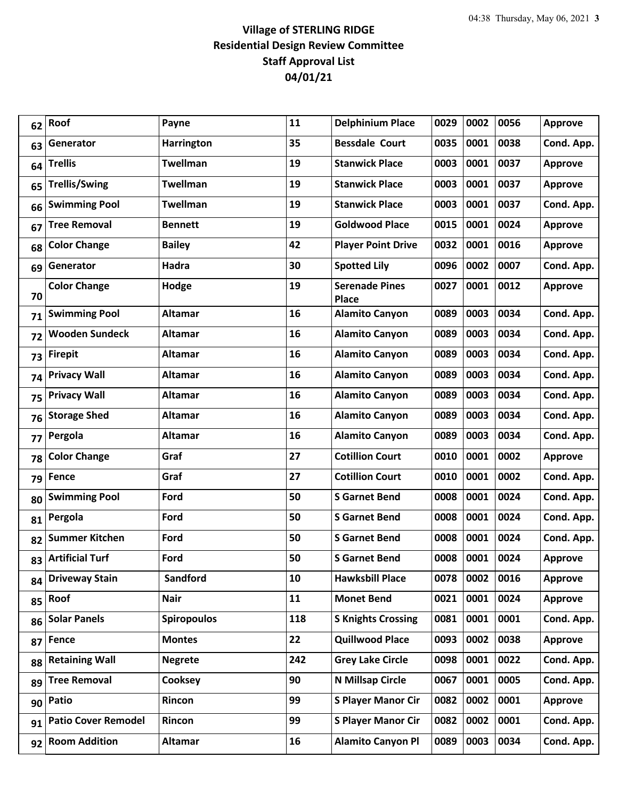| 62 | Roof                       | Payne              | 11  | <b>Delphinium Place</b>               | 0029 | 0002 | 0056 | <b>Approve</b> |
|----|----------------------------|--------------------|-----|---------------------------------------|------|------|------|----------------|
| 63 | Generator                  | <b>Harrington</b>  | 35  | <b>Bessdale Court</b>                 | 0035 | 0001 | 0038 | Cond. App.     |
| 64 | <b>Trellis</b>             | <b>Twellman</b>    | 19  | <b>Stanwick Place</b>                 | 0003 | 0001 | 0037 | <b>Approve</b> |
| 65 | <b>Trellis/Swing</b>       | <b>Twellman</b>    | 19  | <b>Stanwick Place</b>                 | 0003 | 0001 | 0037 | <b>Approve</b> |
| 66 | <b>Swimming Pool</b>       | <b>Twellman</b>    | 19  | <b>Stanwick Place</b>                 | 0003 | 0001 | 0037 | Cond. App.     |
| 67 | <b>Tree Removal</b>        | <b>Bennett</b>     | 19  | <b>Goldwood Place</b>                 | 0015 | 0001 | 0024 | <b>Approve</b> |
| 68 | <b>Color Change</b>        | <b>Bailey</b>      | 42  | <b>Player Point Drive</b>             | 0032 | 0001 | 0016 | <b>Approve</b> |
| 69 | Generator                  | Hadra              | 30  | <b>Spotted Lily</b>                   | 0096 | 0002 | 0007 | Cond. App.     |
| 70 | <b>Color Change</b>        | Hodge              | 19  | <b>Serenade Pines</b><br><b>Place</b> | 0027 | 0001 | 0012 | <b>Approve</b> |
| 71 | <b>Swimming Pool</b>       | <b>Altamar</b>     | 16  | <b>Alamito Canyon</b>                 | 0089 | 0003 | 0034 | Cond. App.     |
| 72 | <b>Wooden Sundeck</b>      | <b>Altamar</b>     | 16  | <b>Alamito Canyon</b>                 | 0089 | 0003 | 0034 | Cond. App.     |
| 73 | <b>Firepit</b>             | <b>Altamar</b>     | 16  | <b>Alamito Canyon</b>                 | 0089 | 0003 | 0034 | Cond. App.     |
| 74 | <b>Privacy Wall</b>        | <b>Altamar</b>     | 16  | <b>Alamito Canyon</b>                 | 0089 | 0003 | 0034 | Cond. App.     |
| 75 | <b>Privacy Wall</b>        | <b>Altamar</b>     | 16  | <b>Alamito Canyon</b>                 | 0089 | 0003 | 0034 | Cond. App.     |
| 76 | <b>Storage Shed</b>        | <b>Altamar</b>     | 16  | <b>Alamito Canyon</b>                 | 0089 | 0003 | 0034 | Cond. App.     |
| 77 | Pergola                    | <b>Altamar</b>     | 16  | <b>Alamito Canyon</b>                 | 0089 | 0003 | 0034 | Cond. App.     |
| 78 | <b>Color Change</b>        | Graf               | 27  | <b>Cotillion Court</b>                | 0010 | 0001 | 0002 | <b>Approve</b> |
| 79 | Fence                      | Graf               | 27  | <b>Cotillion Court</b>                | 0010 | 0001 | 0002 | Cond. App.     |
| 80 | <b>Swimming Pool</b>       | Ford               | 50  | <b>S</b> Garnet Bend                  | 0008 | 0001 | 0024 | Cond. App.     |
| 81 | Pergola                    | Ford               | 50  | <b>S</b> Garnet Bend                  | 0008 | 0001 | 0024 | Cond. App.     |
| 82 | <b>Summer Kitchen</b>      | Ford               | 50  | <b>S</b> Garnet Bend                  | 0008 | 0001 | 0024 | Cond. App.     |
| 83 | <b>Artificial Turf</b>     | Ford               | 50  | <b>S</b> Garnet Bend                  | 0008 | 0001 | 0024 | <b>Approve</b> |
| 84 | <b>Driveway Stain</b>      | Sandford           | 10  | <b>Hawksbill Place</b>                | 0078 | 0002 | 0016 | <b>Approve</b> |
| 85 | Roof                       | <b>Nair</b>        | 11  | <b>Monet Bend</b>                     | 0021 | 0001 | 0024 | <b>Approve</b> |
| 86 | <b>Solar Panels</b>        | <b>Spiropoulos</b> | 118 | <b>S Knights Crossing</b>             | 0081 | 0001 | 0001 | Cond. App.     |
| 87 | <b>Fence</b>               | <b>Montes</b>      | 22  | <b>Quillwood Place</b>                | 0093 | 0002 | 0038 | <b>Approve</b> |
| 88 | <b>Retaining Wall</b>      | <b>Negrete</b>     | 242 | <b>Grey Lake Circle</b>               | 0098 | 0001 | 0022 | Cond. App.     |
| 89 | <b>Tree Removal</b>        | Cooksey            | 90  | N Millsap Circle                      | 0067 | 0001 | 0005 | Cond. App.     |
| 90 | Patio                      | Rincon             | 99  | <b>S Player Manor Cir</b>             | 0082 | 0002 | 0001 | <b>Approve</b> |
| 91 | <b>Patio Cover Remodel</b> | Rincon             | 99  | <b>S Player Manor Cir</b>             | 0082 | 0002 | 0001 | Cond. App.     |
| 92 | <b>Room Addition</b>       | <b>Altamar</b>     | 16  | <b>Alamito Canyon Pl</b>              | 0089 | 0003 | 0034 | Cond. App.     |